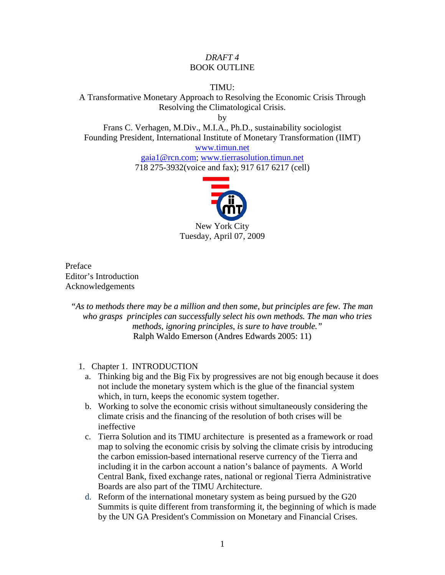## *DRAFT 4*  BOOK OUTLINE

TIMU:

A Transformative Monetary Approach to Resolving the Economic Crisis Through Resolving the Climatological Crisis.

by

Frans C. Verhagen, M.Div., M.I.A., Ph.D., sustainability sociologist Founding President, International Institute of Monetary Transformation (IIMT) www.timun.net

gaia1@rcn.com; www.tierrasolution.timun.net 718 275-3932(voice and fax); 917 617 6217 (cell)



Preface Editor's Introduction Acknowledgements

"*As to methods there may be a million and then some, but principles are few. The man who grasps principles can successfully select his own methods. The man who tries methods, ignoring principles, is sure to have trouble."* Ralph Waldo Emerson (Andres Edwards 2005: 11)

- 1. Chapter 1. INTRODUCTION
	- a. Thinking big and the Big Fix by progressives are not big enough because it does not include the monetary system which is the glue of the financial system which, in turn, keeps the economic system together.
	- b. Working to solve the economic crisis without simultaneously considering the climate crisis and the financing of the resolution of both crises will be ineffective
	- c. Tierra Solution and its TIMU architecture is presented as a framework or road map to solving the economic crisis by solving the climate crisis by introducing the carbon emission-based international reserve currency of the Tierra and including it in the carbon account a nation's balance of payments. A World Central Bank, fixed exchange rates, national or regional Tierra Administrative Boards are also part of the TIMU Architecture.
	- d. Reform of the international monetary system as being pursued by the G20 Summits is quite different from transforming it, the beginning of which is made by the UN GA President's Commission on Monetary and Financial Crises.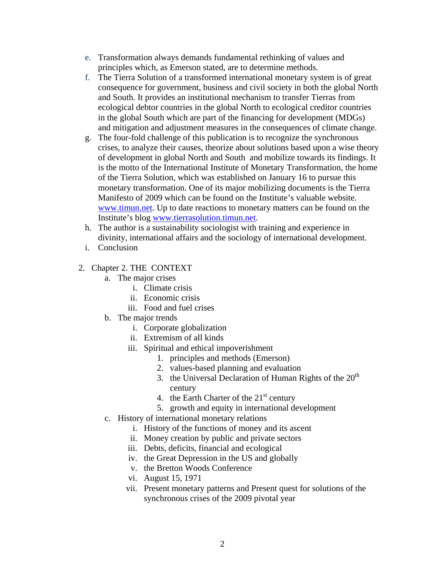- e. Transformation always demands fundamental rethinking of values and principles which, as Emerson stated, are to determine methods.
- f. The Tierra Solution of a transformed international monetary system is of great consequence for government, business and civil society in both the global North and South. It provides an institutional mechanism to transfer Tierras from ecological debtor countries in the global North to ecological creditor countries in the global South which are part of the financing for development (MDGs) and mitigation and adjustment measures in the consequences of climate change.
- g. The four-fold challenge of this publication is to recognize the synchronous crises, to analyze their causes, theorize about solutions based upon a wise theory of development in global North and South and mobilize towards its findings. It is the motto of the International Institute of Monetary Transformation, the home of the Tierra Solution, which was established on January 16 to pursue this monetary transformation. One of its major mobilizing documents is the Tierra Manifesto of 2009 which can be found on the Institute's valuable website. www.timun.net. Up to date reactions to monetary matters can be found on the Institute's blog www.tierrasolution.timun.net.
- h. The author is a sustainability sociologist with training and experience in divinity, international affairs and the sociology of international development.
- i. Conclusion
- 2. Chapter 2. THE CONTEXT
	- a. The major crises
		- i. Climate crisis
		- ii. Economic crisis
		- iii. Food and fuel crises
	- b. The major trends
		- i. Corporate globalization
		- ii. Extremism of all kinds
		- iii. Spiritual and ethical impoverishment
			- 1. principles and methods (Emerson)
			- 2. values-based planning and evaluation
			- 3. the Universal Declaration of Human Rights of the  $20<sup>th</sup>$ century
			- 4. the Earth Charter of the  $21<sup>st</sup>$  century
			- 5. growth and equity in international development
	- c. History of international monetary relations
		- i. History of the functions of money and its ascent
		- ii. Money creation by public and private sectors
		- iii. Debts, deficits, financial and ecological
		- iv. the Great Depression in the US and globally
		- v. the Bretton Woods Conference
		- vi. August 15, 1971
		- vii. Present monetary patterns and Present quest for solutions of the synchronous crises of the 2009 pivotal year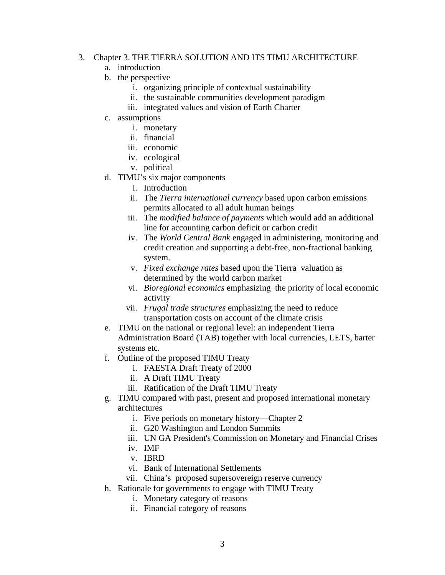## 3. Chapter 3. THE TIERRA SOLUTION AND ITS TIMU ARCHITECTURE

- a. introduction
- b. the perspective
	- i. organizing principle of contextual sustainability
	- ii. the sustainable communities development paradigm
	- iii. integrated values and vision of Earth Charter
- c. assumptions
	- i. monetary
	- ii. financial
	- iii. economic
	- iv. ecological
	- v. political
- d. TIMU's six major components
	- i. Introduction
	- ii. The *Tierra international currency* based upon carbon emissions permits allocated to all adult human beings
	- iii. The *modified balance of payments* which would add an additional line for accounting carbon deficit or carbon credit
	- iv. The *World Central Bank* engaged in administering, monitoring and credit creation and supporting a debt-free, non-fractional banking system.
	- v. *Fixed exchange rates* based upon the Tierra valuation as determined by the world carbon market
	- vi. *Bioregional economics* emphasizing the priority of local economic activity
	- vii. *Frugal trade structures* emphasizing the need to reduce transportation costs on account of the climate crisis
- e. TIMU on the national or regional level: an independent Tierra Administration Board (TAB) together with local currencies, LETS, barter systems etc.
- f. Outline of the proposed TIMU Treaty
	- i. FAESTA Draft Treaty of 2000
		- ii. A Draft TIMU Treaty
	- iii. Ratification of the Draft TIMU Treaty
- g. TIMU compared with past, present and proposed international monetary architectures
	- i. Five periods on monetary history—Chapter 2
	- ii. G20 Washington and London Summits
	- iii. UN GA President's Commission on Monetary and Financial Crises
	- iv. IMF
	- v. IBRD
	- vi. Bank of International Settlements
	- vii. China's proposed supersovereign reserve currency
- h. Rationale for governments to engage with TIMU Treaty
	- i. Monetary category of reasons
	- ii. Financial category of reasons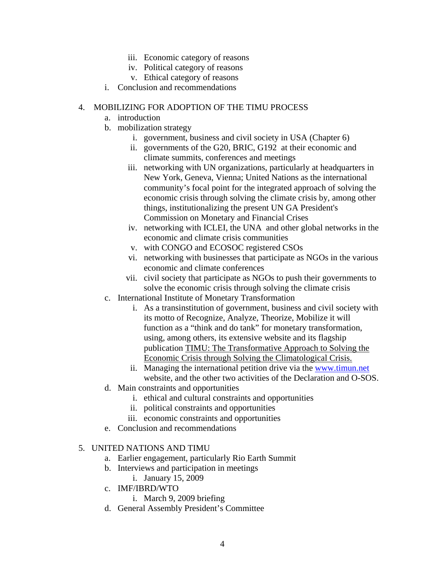- iii. Economic category of reasons
- iv. Political category of reasons
- v. Ethical category of reasons
- i. Conclusion and recommendations

## 4. MOBILIZING FOR ADOPTION OF THE TIMU PROCESS

- a. introduction
- b. mobilization strategy
	- i. government, business and civil society in USA (Chapter 6)
	- ii. governments of the G20, BRIC, G192 at their economic and climate summits, conferences and meetings
	- iii. networking with UN organizations, particularly at headquarters in New York, Geneva, Vienna; United Nations as the international community's focal point for the integrated approach of solving the economic crisis through solving the climate crisis by, among other things, institutionalizing the present UN GA President's Commission on Monetary and Financial Crises
	- iv. networking with ICLEI, the UNA and other global networks in the economic and climate crisis communities
	- v. with CONGO and ECOSOC registered CSOs
	- vi. networking with businesses that participate as NGOs in the various economic and climate conferences
	- vii. civil society that participate as NGOs to push their governments to solve the economic crisis through solving the climate crisis
- c. International Institute of Monetary Transformation
	- i. As a transinstitution of government, business and civil society with its motto of Recognize, Analyze, Theorize, Mobilize it will function as a "think and do tank" for monetary transformation, using, among others, its extensive website and its flagship publication TIMU: The Transformative Approach to Solving the Economic Crisis through Solving the Climatological Crisis.
	- ii. Managing the international petition drive via the www.timun.net website, and the other two activities of the Declaration and O-SOS.
- d. Main constraints and opportunities
	- i. ethical and cultural constraints and opportunities
	- ii. political constraints and opportunities
	- iii. economic constraints and opportunities
- e. Conclusion and recommendations

## 5. UNITED NATIONS AND TIMU

- a. Earlier engagement, particularly Rio Earth Summit
- b. Interviews and participation in meetings i. January 15, 2009
- c. IMF/IBRD/WTO
	- i. March 9, 2009 briefing
- d. General Assembly President's Committee